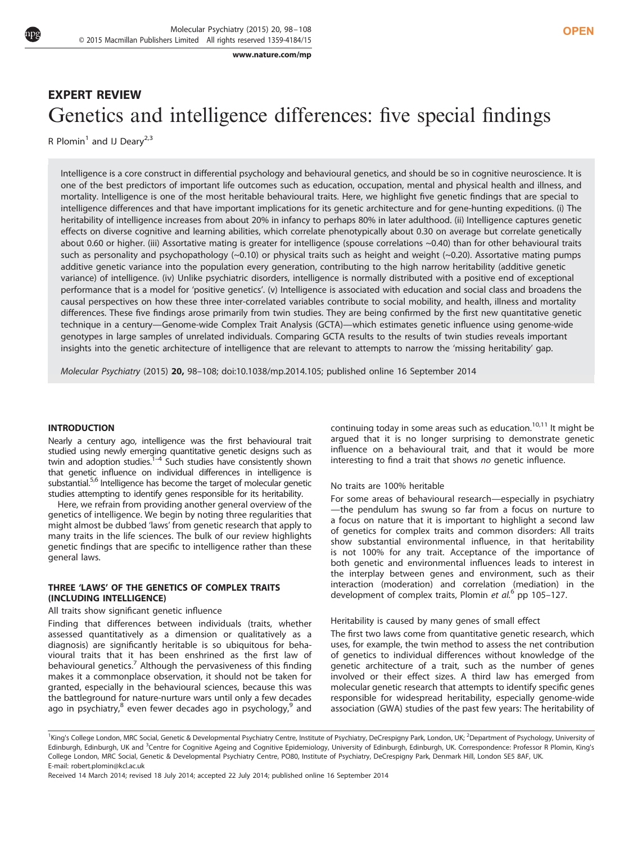[www.nature.com/mp](http://www.nature.com/mp)

# EXPERT REVIEW Genetics and intelligence differences: five special findings

R Plomin<sup>1</sup> and IJ Deary<sup>2,3</sup>

Intelligence is a core construct in differential psychology and behavioural genetics, and should be so in cognitive neuroscience. It is one of the best predictors of important life outcomes such as education, occupation, mental and physical health and illness, and mortality. Intelligence is one of the most heritable behavioural traits. Here, we highlight five genetic findings that are special to intelligence differences and that have important implications for its genetic architecture and for gene-hunting expeditions. (i) The heritability of intelligence increases from about 20% in infancy to perhaps 80% in later adulthood. (ii) Intelligence captures genetic effects on diverse cognitive and learning abilities, which correlate phenotypically about 0.30 on average but correlate genetically about 0.60 or higher. (iii) Assortative mating is greater for intelligence (spouse correlations ~0.40) than for other behavioural traits such as personality and psychopathology  $(-0.10)$  or physical traits such as height and weight  $(-0.20)$ . Assortative mating pumps additive genetic variance into the population every generation, contributing to the high narrow heritability (additive genetic variance) of intelligence. (iv) Unlike psychiatric disorders, intelligence is normally distributed with a positive end of exceptional performance that is a model for 'positive genetics'. (v) Intelligence is associated with education and social class and broadens the causal perspectives on how these three inter-correlated variables contribute to social mobility, and health, illness and mortality differences. These five findings arose primarily from twin studies. They are being confirmed by the first new quantitative genetic technique in a century—Genome-wide Complex Trait Analysis (GCTA)—which estimates genetic influence using genome-wide genotypes in large samples of unrelated individuals. Comparing GCTA results to the results of twin studies reveals important insights into the genetic architecture of intelligence that are relevant to attempts to narrow the 'missing heritability' gap.

Molecular Psychiatry (2015) 20, 98–108; doi[:10.1038/mp.2014.105;](http://dx.doi.org/10.1038/mp.2014.105) published online 16 September 2014

## INTRODUCTION

Nearly a century ago, intelligence was the first behavioural trait studied using newly emerging quantitative genetic designs such as twin and adoption studies. $1-4$  $1-4$  Such studies have consistently shown that genetic influence on individual differences in intelligence is substantial.<sup>[5,6](#page-8-0)</sup> Intelligence has become the target of molecular genetic studies attempting to identify genes responsible for its heritability.

Here, we refrain from providing another general overview of the genetics of intelligence. We begin by noting three regularities that might almost be dubbed 'laws' from genetic research that apply to many traits in the life sciences. The bulk of our review highlights genetic findings that are specific to intelligence rather than these general laws.

## THREE 'LAWS' OF THE GENETICS OF COMPLEX TRAITS (INCLUDING INTELLIGENCE)

## All traits show significant genetic influence

Finding that differences between individuals (traits, whether assessed quantitatively as a dimension or qualitatively as a diagnosis) are significantly heritable is so ubiquitous for behavioural traits that it has been enshrined as the first law of behavioural genetics.<sup>[7](#page-8-0)</sup> Although the pervasiveness of this finding makes it a commonplace observation, it should not be taken for granted, especially in the behavioural sciences, because this was the battleground for nature-nurture wars until only a few decades ago in psychiatry,<sup>[8](#page-8-0)</sup> even fewer decades ago in psychology,<sup>[9](#page-8-0)</sup> and

continuing today in some areas such as education.<sup>[10](#page-8-0),[11](#page-8-0)</sup> It might be argued that it is no longer surprising to demonstrate genetic influence on a behavioural trait, and that it would be more interesting to find a trait that shows no genetic influence.

## No traits are 100% heritable

For some areas of behavioural research—especially in psychiatry —the pendulum has swung so far from a focus on nurture to a focus on nature that it is important to highlight a second law of genetics for complex traits and common disorders: All traits show substantial environmental influence, in that heritability is not 100% for any trait. Acceptance of the importance of both genetic and environmental influences leads to interest in the interplay between genes and environment, such as their interaction (moderation) and correlation (mediation) in the development of complex traits, Plomin et al.<sup>[6](#page-8-0)</sup> pp 105-127.

## Heritability is caused by many genes of small effect

The first two laws come from quantitative genetic research, which uses, for example, the twin method to assess the net contribution of genetics to individual differences without knowledge of the genetic architecture of a trait, such as the number of genes involved or their effect sizes. A third law has emerged from molecular genetic research that attempts to identify specific genes responsible for widespread heritability, especially genome-wide association (GWA) studies of the past few years: The heritability of

Received 14 March 2014; revised 18 July 2014; accepted 22 July 2014; published online 16 September 2014

<sup>&</sup>lt;sup>1</sup>King's College London, MRC Social, Genetic & Developmental Psychiatry Centre, Institute of Psychiatry, DeCrespigny Park, London, UK; <sup>2</sup>Department of Psychology, University of Edinburgh, Edinburgh, UK and <sup>3</sup>Centre for Cognitive Ageing and Cognitive Epidemiology, University of Edinburgh, Edinburgh, UK. Correspondence: Professor R Plomin, King's College London, MRC Social, Genetic & Developmental Psychiatry Centre, PO80, Institute of Psychiatry, DeCrespigny Park, Denmark Hill, London SE5 8AF, UK. E-mail: [robert.plomin@kcl.ac.uk](mailto:robert.plomin@kcl.ac.uk)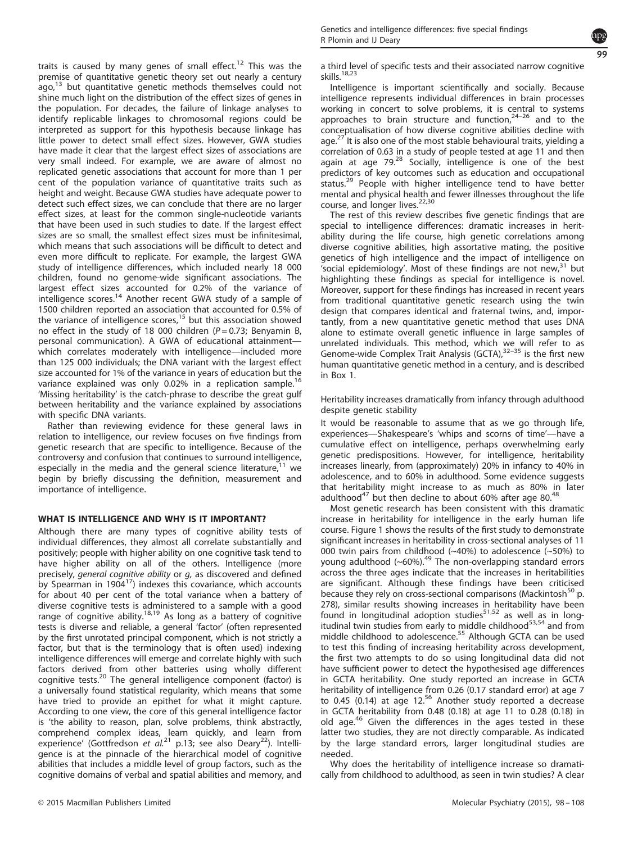traits is caused by many genes of small effect.<sup>[12](#page-8-0)</sup> This was the premise of quantitative genetic theory set out nearly a century  $aqo<sub>13</sub>$  $aqo<sub>13</sub>$  $aqo<sub>13</sub>$  but quantitative genetic methods themselves could not shine much light on the distribution of the effect sizes of genes in the population. For decades, the failure of linkage analyses to identify replicable linkages to chromosomal regions could be interpreted as support for this hypothesis because linkage has little power to detect small effect sizes. However, GWA studies have made it clear that the largest effect sizes of associations are very small indeed. For example, we are aware of almost no replicated genetic associations that account for more than 1 per cent of the population variance of quantitative traits such as height and weight. Because GWA studies have adequate power to detect such effect sizes, we can conclude that there are no larger effect sizes, at least for the common single-nucleotide variants that have been used in such studies to date. If the largest effect sizes are so small, the smallest effect sizes must be infinitesimal, which means that such associations will be difficult to detect and even more difficult to replicate. For example, the largest GWA study of intelligence differences, which included nearly 18 000 children, found no genome-wide significant associations. The largest effect sizes accounted for 0.2% of the variance of intelligence scores.[14](#page-8-0) Another recent GWA study of a sample of 1500 children reported an association that accounted for 0.5% of the variance of intelligence scores, $15$  but this association showed no effect in the study of 18 000 children ( $P = 0.73$ ; Benyamin B, personal communication). A GWA of educational attainment which correlates moderately with intelligence—included more than 125 000 individuals; the DNA variant with the largest effect size accounted for 1% of the variance in years of education but the variance explained was only 0.02% in a replication sample.<sup>[16](#page-8-0)</sup> 'Missing heritability' is the catch-phrase to describe the great gulf between heritability and the variance explained by associations with specific DNA variants.

Rather than reviewing evidence for these general laws in relation to intelligence, our review focuses on five findings from genetic research that are specific to intelligence. Because of the controversy and confusion that continues to surround intelligence, especially in the media and the general science literature, $11$  we begin by briefly discussing the definition, measurement and importance of intelligence.

## WHAT IS INTELLIGENCE AND WHY IS IT IMPORTANT?

Although there are many types of cognitive ability tests of individual differences, they almost all correlate substantially and positively; people with higher ability on one cognitive task tend to have higher ability on all of the others. Intelligence (more precisely, general cognitive ability or g, as discovered and defined by Spearman in  $1904^{17}$  $1904^{17}$  $1904^{17}$ ) indexes this covariance, which accounts for about 40 per cent of the total variance when a battery of diverse cognitive tests is administered to a sample with a good range of cognitive ability.<sup>[18](#page-8-0),[19](#page-8-0)</sup> As long as a battery of cognitive tests is diverse and reliable, a general 'factor' (often represented by the first unrotated principal component, which is not strictly a factor, but that is the terminology that is often used) indexing intelligence differences will emerge and correlate highly with such factors derived from other batteries using wholly different<br>cognitive tests.<sup>20</sup> The general intelligence component (factor) is a universally found statistical regularity, which means that some have tried to provide an epithet for what it might capture. According to one view, the core of this general intelligence factor is 'the ability to reason, plan, solve problems, think abstractly, comprehend complex ideas, learn quickly, and learn from experience' (Gottfredson et  $al.^{21}$  $al.^{21}$  $al.^{21}$  p.13; see also Deary<sup>[22](#page-8-0)</sup>). Intelligence is at the pinnacle of the hierarchical model of cognitive abilities that includes a middle level of group factors, such as the cognitive domains of verbal and spatial abilities and memory, and



a third level of specific tests and their associated narrow cognitive skills.<sup>[18,23](#page-8-0)</sup>

Intelligence is important scientifically and socially. Because intelligence represents individual differences in brain processes working in concert to solve problems, it is [centra](#page-8-0)l to systems approaches to brain structure and function, $24-26$  and to the conceptualisation of how diverse cognitive abilities decline with age.<sup>27</sup> It is also one of the most stable behavioural traits, vielding a correlation of 0.63 in a study of people tested at age 11 and then again at age 79.<sup>28</sup> Socially, intelligence is one of the best predictors of key outcomes such as education and occupational status.<sup>[29](#page-8-0)</sup> People with higher intelligence tend to have better mental and physical health and fewer illnesses throughout the life course, and longer lives.<sup>[22,30](#page-8-0)</sup>

The rest of this review describes five genetic findings that are special to intelligence differences: dramatic increases in heritability during the life course, high genetic correlations among diverse cognitive abilities, high assortative mating, the positive genetics of high intelligence and the impact of intelligence on 'social epidemiology'. Most of these findings are not new,<sup>[31](#page-8-0)</sup> but highlighting these findings as special for intelligence is novel. Moreover, support for these findings has increased in recent years from traditional quantitative genetic research using the twin design that compares identical and fraternal twins, and, importantly, from a new quantitative genetic method that uses DNA alone to estimate overall genetic influence in large samples of unrelated individuals. This method, which [we w](#page-8-0)ill refer to as Genome-wide Complex Trait Analysis (GCTA),<sup>32–35</sup> is the first new human quantitative genetic method in a century, and is described in Box 1.

Heritability increases dramatically from infancy through adulthood despite genetic stability

It would be reasonable to assume that as we go through life, experiences—Shakespeare's 'whips and scorns of time'—have a cumulative effect on intelligence, perhaps overwhelming early genetic predispositions. However, for intelligence, heritability increases linearly, from (approximately) 20% in infancy to 40% in adolescence, and to 60% in adulthood. Some evidence suggests that heritability might increase to as much as 80% in later adulthood $^{47}$  $^{47}$  $^{47}$  but then decline to about 60% after age 80. $^{48}$  $^{48}$  $^{48}$ 

Most genetic research has been consistent with this dramatic increase in heritability for intelligence in the early human life course. [Figure 1](#page-2-0) shows the results of the first study to demonstrate significant increases in heritability in cross-sectional analyses of 11 000 twin pairs from childhood (~40%) to adolescence (~50%) to young adulthood (~60%).<sup>[49](#page-9-0)</sup> The non-overlapping standard errors across the three ages indicate that the increases in heritabilities are significant. Although these findings have been criticised because they rely on cross-sectional comparisons (Mackintosh<sup>[50](#page-9-0)</sup> p. 278), similar results showing increases in heritability have been found in longitudinal adoption studies<sup>[51,52](#page-9-0)</sup> as well as in long-itudinal twin studies from early to middle childhood<sup>[53,54](#page-9-0)</sup> and from middle childhood to adolescence.<sup>[55](#page-9-0)</sup> Although GCTA can be used to test this finding of increasing heritability across development, the first two attempts to do so using longitudinal data did not have sufficient power to detect the hypothesised age differences in GCTA heritability. One study reported an increase in GCTA heritability of intelligence from 0.26 (0.17 standard error) at age 7 to 0.45 (0.14) at age  $12^{56}$  $12^{56}$  $12^{56}$  Another study reported a decrease in GCTA heritability from 0.48 (0.18) at age 11 to 0.28 (0.18) in old age.<sup>46</sup> Given the differences in the ages tested in these latter two studies, they are not directly comparable. As indicated by the large standard errors, larger longitudinal studies are needed.

Why does the heritability of intelligence increase so dramatically from childhood to adulthood, as seen in twin studies? A clear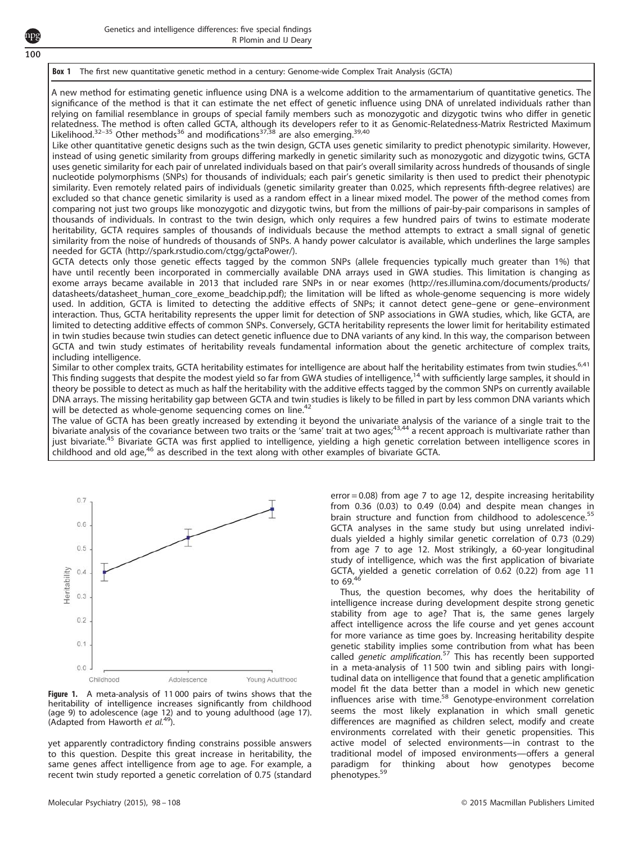<span id="page-2-0"></span>

## Box 1 The first new quantitative genetic method in a century: Genome-wide Complex Trait Analysis (GCTA)

A new method for estimating genetic influence using DNA is a welcome addition to the armamentarium of quantitative genetics. The significance of the method is that it can estimate the net effect of genetic influence using DNA of unrelated individuals rather than relying on familial resemblance in groups of special family members such as monozygotic and dizygotic twins who differ in genetic relatedness. The method is often called GCTA, although its developers refer to it as Genomic-Relatedness-Matrix Restricted Maximum<br>Likelihood.<sup>32–[35](#page-8-0)</sup> Other methods<sup>[36](#page-8-0)</sup> and modifications<sup>[37](#page-8-0),[38](#page-8-0)</sup> are also emerging.<sup>[39,40](#page-8-0)</sup>

Like other quantitative genetic designs such as the twin design, GCTA uses genetic similarity to predict phenotypic similarity. However, instead of using genetic similarity from groups differing markedly in genetic similarity such as monozygotic and dizygotic twins, GCTA uses genetic similarity for each pair of unrelated individuals based on that pair's overall similarity across hundreds of thousands of single nucleotide polymorphisms (SNPs) for thousands of individuals; each pair's genetic similarity is then used to predict their phenotypic similarity. Even remotely related pairs of individuals (genetic similarity greater than 0.025, which represents fifth-degree relatives) are excluded so that chance genetic similarity is used as a random effect in a linear mixed model. The power of the method comes from comparing not just two groups like monozygotic and dizygotic twins, but from the millions of pair-by-pair comparisons in samples of thousands of individuals. In contrast to the twin design, which only requires a few hundred pairs of twins to estimate moderate heritability, GCTA requires samples of thousands of individuals because the method attempts to extract a small signal of genetic similarity from the noise of hundreds of thousands of SNPs. A handy power calculator is available, which underlines the large samples needed for GCTA (http://spark.rstudio.com/ctgg/gctaPower/).

GCTA detects only those genetic effects tagged by the common SNPs (allele frequencies typically much greater than 1%) that have until recently been incorporated in commercially available DNA arrays used in GWA studies. This limitation is changing as exome arrays became available in 2013 that included rare SNPs in or near exomes (http://res.illumina.com/documents/products/ datasheets/datasheet\_human\_core\_exome\_beadchip.pdf); the limitation will be lifted as whole-genome sequencing is more widely used. In addition, GCTA is limited to detecting the additive effects of SNPs; it cannot detect gene–gene or gene–environment interaction. Thus, GCTA heritability represents the upper limit for detection of SNP associations in GWA studies, which, like GCTA, are limited to detecting additive effects of common SNPs. Conversely, GCTA heritability represents the lower limit for heritability estimated in twin studies because twin studies can detect genetic influence due to DNA variants of any kind. In this way, the comparison between GCTA and twin study estimates of heritability reveals fundamental information about the genetic architecture of complex traits, including intelligence.

Similar to other complex traits, GCTA heritability estimates for intelligence are about half the heritability estimates from twin studies.<sup>[6](#page-8-0),[41](#page-8-0)</sup> This finding suggests that despite the modest yield so far from GWA studies of intelligence,<sup>[14](#page-8-0)</sup> with sufficiently large samples, it should in theory be possible to detect as much as half the heritability with the additive effects tagged by the common SNPs on currently available DNA arrays. The missing heritability gap between GCTA and twin studies is likely to be filled in part by less common DNA variants which will be detected as whole-genome sequencing comes on line.<sup>[42](#page-8-0)</sup>

The value of GCTA has been greatly increased by extending it beyond the univariate analysis of the variance of a single trait to the bivariate analysis of the covariance between two traits or the 'same' trait at two ages;<sup>[43,44](#page-8-0)</sup> a recent approach is multivariate rather than just bivariate.<sup>[45](#page-8-0)</sup> Bivariate GCTA was first applied to intelligence, yielding a high genetic correlation between intelligence scores in childhood and old age, $46$  as described in the text along with other examples of bivariate GCTA.



Figure 1. A meta-analysis of 11 000 pairs of twins shows that the heritability of intelligence increases significantly from childhood (age 9) to adolescence (age 12) and to young adulthood (age 17). (Adapted from Haworth et al.<sup>[49](#page-9-0)</sup>).

yet apparently contradictory finding constrains possible answers to this question. Despite this great increase in heritability, the same genes affect intelligence from age to age. For example, a recent twin study reported a genetic correlation of 0.75 (standard error = 0.08) from age 7 to age 12, despite increasing heritability from 0.36 (0.03) to 0.49 (0.04) and despite mean changes in brain structure and function from childhood to adolescence.<sup>[55](#page-9-0)</sup> GCTA analyses in the same study but using unrelated individuals yielded a highly similar genetic correlation of 0.73 (0.29) from age 7 to age 12. Most strikingly, a 60-year longitudinal study of intelligence, which was the first application of bivariate GCTA, yielded a genetic correlation of 0.62 (0.22) from age 11 to  $69<sup>4</sup>$ 

Thus, the question becomes, why does the heritability of intelligence increase during development despite strong genetic stability from age to age? That is, the same genes largely affect intelligence across the life course and yet genes account for more variance as time goes by. Increasing heritability despite genetic stability implies some contribution from what has been<br>called *genetic amplification.*<sup>[57](#page-9-0)</sup> This has recently been supported in a meta-analysis of 11 500 twin and sibling pairs with longitudinal data on intelligence that found that a genetic amplification model fit the data better than a model in which new genetic influences arise with time.<sup>58</sup> Genotype-environment correlation seems the most likely explanation in which small genetic differences are magnified as children select, modify and create environments correlated with their genetic propensities. This active model of selected environments—in contrast to the traditional model of imposed environments—offers a general paradigm for thinking about how genotypes become phenotypes.<sup>[59](#page-9-0)</sup>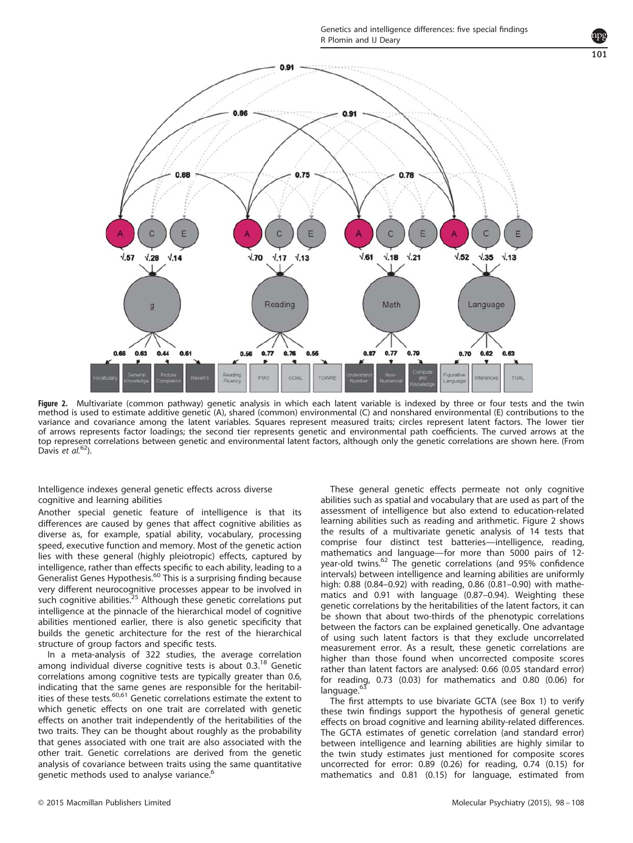101



Figure 2. Multivariate (common pathway) genetic analysis in which each latent variable is indexed by three or four tests and the twin method is used to estimate additive genetic (A), shared (common) environmental (C) and nonshared environmental (E) contributions to the variance and covariance among the latent variables. Squares represent measured traits; circles represent latent factors. The lower tier of arrows represents factor loadings; the second tier represents genetic and environmental path coefficients. The curved arrows at the top represent correlations between genetic and environmental latent factors, although only the genetic correlations are shown here. (From Davis et  $al^{62}$  $al^{62}$  $al^{62}$ ).

Intelligence indexes general genetic effects across diverse cognitive and learning abilities

Another special genetic feature of intelligence is that its differences are caused by genes that affect cognitive abilities as diverse as, for example, spatial ability, vocabulary, processing speed, executive function and memory. Most of the genetic action lies with these general (highly pleiotropic) effects, captured by intelligence, rather than effects specific to each ability, leading to a Generalist Genes Hypothesis.<sup>[60](#page-9-0)</sup> This is a surprising finding because very different neurocognitive processes appear to be involved in such cognitive abilities.<sup>[25](#page-8-0)</sup> Although these genetic correlations put intelligence at the pinnacle of the hierarchical model of cognitive abilities mentioned earlier, there is also genetic specificity that builds the genetic architecture for the rest of the hierarchical structure of group factors and specific tests.

In a meta-analysis of 322 studies, the average correlation among individual diverse cognitive tests is about 0.3.<sup>[18](#page-8-0)</sup> Genetic correlations among cognitive tests are typically greater than 0.6, indicating that the same genes are responsible for the heritabil-ities of these tests.<sup>[60](#page-9-0),[61](#page-9-0)</sup> Genetic correlations estimate the extent to which genetic effects on one trait are correlated with genetic effects on another trait independently of the heritabilities of the two traits. They can be thought about roughly as the probability that genes associated with one trait are also associated with the other trait. Genetic correlations are derived from the genetic analysis of covariance between traits using the same quantitative genetic methods used to analyse variance.<sup>[6](#page-8-0)</sup>

These general genetic effects permeate not only cognitive abilities such as spatial and vocabulary that are used as part of the assessment of intelligence but also extend to education-related learning abilities such as reading and arithmetic. Figure 2 shows the results of a multivariate genetic analysis of 14 tests that comprise four distinct test batteries—intelligence, reading, mathematics and language—for more than 5000 pairs of 12- year-old twins.<sup>[62](#page-9-0)</sup> The genetic correlations (and 95% confidence intervals) between intelligence and learning abilities are uniformly high: 0.88 (0.84–0.92) with reading, 0.86 (0.81–0.90) with mathematics and 0.91 with language (0.87–0.94). Weighting these genetic correlations by the heritabilities of the latent factors, it can be shown that about two-thirds of the phenotypic correlations between the factors can be explained genetically. One advantage of using such latent factors is that they exclude uncorrelated measurement error. As a result, these genetic correlations are higher than those found when uncorrected composite scores rather than latent factors are analysed: 0.66 (0.05 standard error) for reading, 0.73 (0.03) for mathematics and 0.80 (0.06) for language.<sup>63</sup>

The first attempts to use bivariate GCTA (see Box 1) to verify these twin findings support the hypothesis of general genetic effects on broad cognitive and learning ability-related differences. The GCTA estimates of genetic correlation (and standard error) between intelligence and learning abilities are highly similar to the twin study estimates just mentioned for composite scores uncorrected for error: 0.89 (0.26) for reading, 0.74 (0.15) for mathematics and 0.81 (0.15) for language, estimated from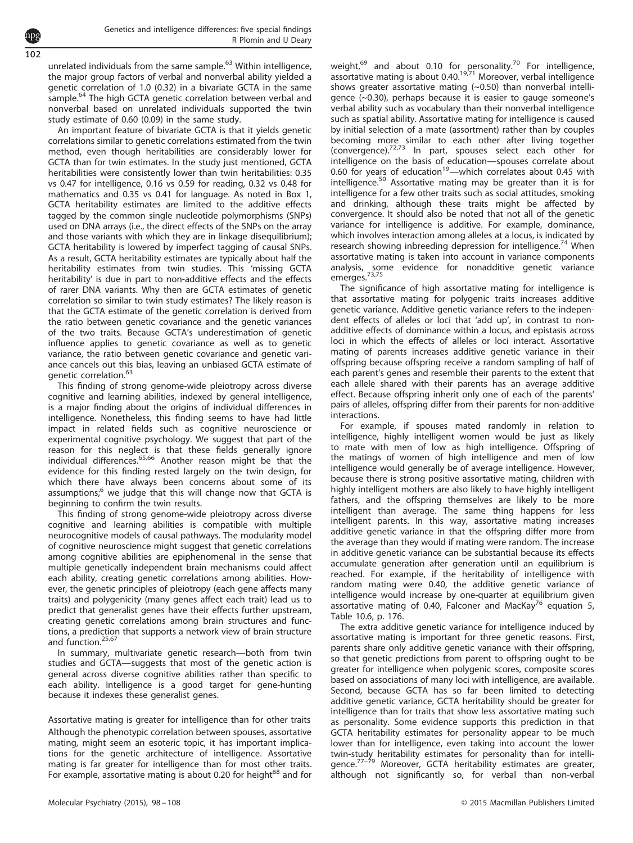unrelated individuals from the same sample.<sup>[63](#page-9-0)</sup> Within intelligence, the major group factors of verbal and nonverbal ability yielded a genetic correlation of 1.0 (0.32) in a bivariate GCTA in the same sample.<sup>64</sup> The high GCTA genetic correlation between verbal and nonverbal based on unrelated individuals supported the twin study estimate of 0.60 (0.09) in the same study.

An important feature of bivariate GCTA is that it yields genetic correlations similar to genetic correlations estimated from the twin method, even though heritabilities are considerably lower for GCTA than for twin estimates. In the study just mentioned, GCTA heritabilities were consistently lower than twin heritabilities: 0.35 vs 0.47 for intelligence, 0.16 vs 0.59 for reading, 0.32 vs 0.48 for mathematics and 0.35 vs 0.41 for language. As noted in Box 1, GCTA heritability estimates are limited to the additive effects tagged by the common single nucleotide polymorphisms (SNPs) used on DNA arrays (i.e., the direct effects of the SNPs on the array and those variants with which they are in linkage disequilibrium); GCTA heritability is lowered by imperfect tagging of causal SNPs. As a result, GCTA heritability estimates are typically about half the heritability estimates from twin studies. This 'missing GCTA heritability' is due in part to non-additive effects and the effects of rarer DNA variants. Why then are GCTA estimates of genetic correlation so similar to twin study estimates? The likely reason is that the GCTA estimate of the genetic correlation is derived from the ratio between genetic covariance and the genetic variances of the two traits. Because GCTA's underestimation of genetic influence applies to genetic covariance as well as to genetic variance, the ratio between genetic covariance and genetic variance cancels out this bias, leaving an unbiased GCTA estimate of genetic correlation.<sup>[63](#page-9-0)</sup>

This finding of strong genome-wide pleiotropy across diverse cognitive and learning abilities, indexed by general intelligence, is a major finding about the origins of individual differences in intelligence. Nonetheless, this finding seems to have had little impact in related fields such as cognitive neuroscience or experimental cognitive psychology. We suggest that part of the reason for this neglect is that these fields generally ignore individual differences.<sup>[65](#page-9-0),[66](#page-9-0)</sup> Another reason might be that the evidence for this finding rested largely on the twin design, for which there have always been concerns about some of its assumptions;<sup>[6](#page-8-0)</sup> we judge that this will change now that GCTA is beginning to confirm the twin results.

This finding of strong genome-wide pleiotropy across diverse cognitive and learning abilities is compatible with multiple neurocognitive models of causal pathways. The modularity model of cognitive neuroscience might suggest that genetic correlations among cognitive abilities are epiphenomenal in the sense that multiple genetically independent brain mechanisms could affect each ability, creating genetic correlations among abilities. However, the genetic principles of pleiotropy (each gene affects many traits) and polygenicity (many genes affect each trait) lead us to predict that generalist genes have their effects further upstream, creating genetic correlations among brain structures and functions, a prediction that supports a network view of brain structure and function.<sup>[25](#page-8-0),[67](#page-9-0)</sup>

In summary, multivariate genetic research—both from twin studies and GCTA—suggests that most of the genetic action is general across diverse cognitive abilities rather than specific to each ability. Intelligence is a good target for gene-hunting because it indexes these generalist genes.

Assortative mating is greater for intelligence than for other traits Although the phenotypic correlation between spouses, assortative mating, might seem an esoteric topic, it has important implications for the genetic architecture of intelligence. Assortative mating is far greater for intelligence than for most other traits. For example, assortative mating is about 0.20 for height $^{68}$  $^{68}$  $^{68}$  and for

weight,<sup>[69](#page-9-0)</sup> and about 0.10 for personality.<sup>[70](#page-9-0)</sup> For intelligence, assortative mating is about 0.40.<sup>[19,](#page-8-0)[71](#page-9-0)</sup> Moreover, verbal intelligence shows greater assortative mating (~0.50) than nonverbal intelligence (~0.30), perhaps because it is easier to gauge someone's verbal ability such as vocabulary than their nonverbal intelligence such as spatial ability. Assortative mating for intelligence is caused by initial selection of a mate (assortment) rather than by couples becoming more similar to each other after living together<br>(convergence).<sup>[72](#page-9-0),[73](#page-9-0)</sup> In part, spouses select each other for intelligence on the basis of education—spouses correlate about 0.60 for years of education<sup>[19](#page-8-0)</sup>—which correlates about 0.45 with intelligence.[50](#page-9-0) Assortative mating may be greater than it is for intelligence for a few other traits such as social attitudes, smoking and drinking, although these traits might be affected by convergence. It should also be noted that not all of the genetic variance for intelligence is additive. For example, dominance, which involves interaction among alleles at a locus, is indicated by research showing inbreeding depression for intelligence.<sup>[74](#page-9-0)</sup> When assortative mating is taken into account in variance components analysis, some evidence for nonadditive genetic variance emerges.[73](#page-9-0),[75](#page-9-0)

The significance of high assortative mating for intelligence is that assortative mating for polygenic traits increases additive genetic variance. Additive genetic variance refers to the independent effects of alleles or loci that 'add up', in contrast to nonadditive effects of dominance within a locus, and epistasis across loci in which the effects of alleles or loci interact. Assortative mating of parents increases additive genetic variance in their offspring because offspring receive a random sampling of half of each parent's genes and resemble their parents to the extent that each allele shared with their parents has an average additive effect. Because offspring inherit only one of each of the parents' pairs of alleles, offspring differ from their parents for non-additive interactions.

For example, if spouses mated randomly in relation to intelligence, highly intelligent women would be just as likely to mate with men of low as high intelligence. Offspring of the matings of women of high intelligence and men of low intelligence would generally be of average intelligence. However, because there is strong positive assortative mating, children with highly intelligent mothers are also likely to have highly intelligent fathers, and the offspring themselves are likely to be more intelligent than average. The same thing happens for less intelligent parents. In this way, assortative mating increases additive genetic variance in that the offspring differ more from the average than they would if mating were random. The increase in additive genetic variance can be substantial because its effects accumulate generation after generation until an equilibrium is reached. For example, if the heritability of intelligence with random mating were 0.40, the additive genetic variance of intelligence would increase by one-quarter at equilibrium given assortative mating of 0.40, Falconer and MacKay<sup>[76](#page-9-0)</sup> equation 5, Table 10.6, p. 176.

The extra additive genetic variance for intelligence induced by assortative mating is important for three genetic reasons. First, parents share only additive genetic variance with their offspring, so that genetic predictions from parent to offspring ought to be greater for intelligence when polygenic scores, composite scores based on associations of many loci with intelligence, are available. Second, because GCTA has so far been limited to detecting additive genetic variance, GCTA heritability should be greater for intelligence than for traits that show less assortative mating such as personality. Some evidence supports this prediction in that GCTA heritability estimates for personality appear to be much lower than for intelligence, even taking into account the lower twin-s[tudy](#page-9-0) heritability estimates for personality than for intelli-gence.77–<sup>79</sup> Moreover, GCTA heritability estimates are greater, although not significantly so, for verbal than non-verbal

102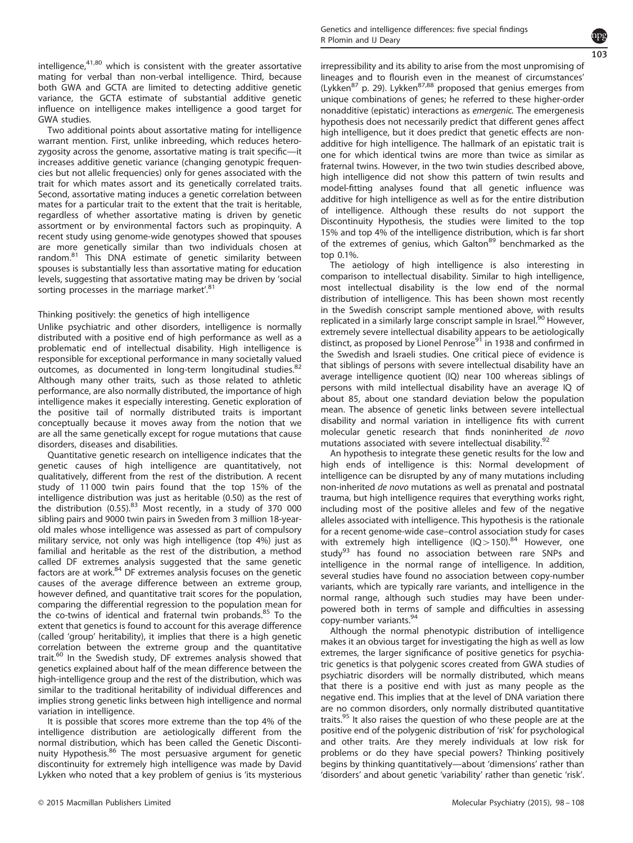intelligence, $41,80$  $41,80$  which is consistent with the greater assortative mating for verbal than non-verbal intelligence. Third, because both GWA and GCTA are limited to detecting additive genetic variance, the GCTA estimate of substantial additive genetic influence on intelligence makes intelligence a good target for GWA studies.

Two additional points about assortative mating for intelligence warrant mention. First, unlike inbreeding, which reduces heterozygosity across the genome, assortative mating is trait specific—it increases additive genetic variance (changing genotypic frequencies but not allelic frequencies) only for genes associated with the trait for which mates assort and its genetically correlated traits. Second, assortative mating induces a genetic correlation between mates for a particular trait to the extent that the trait is heritable, regardless of whether assortative mating is driven by genetic assortment or by environmental factors such as propinquity. A recent study using genome-wide genotypes showed that spouses are more genetically similar than two individuals chosen at<br>random.<sup>81</sup> This DNA estimate of genetic similarity between spouses is substantially less than assortative mating for education levels, suggesting that assortative mating may be driven by 'social sorting processes in the marriage market'.<sup>[81](#page-9-0)</sup>

## Thinking positively: the genetics of high intelligence

Unlike psychiatric and other disorders, intelligence is normally distributed with a positive end of high performance as well as a problematic end of intellectual disability. High intelligence is responsible for exceptional performance in many societally valued outcomes, as documented in long-term longitudinal studies.<sup>[82](#page-9-0)</sup> Although many other traits, such as those related to athletic performance, are also normally distributed, the importance of high intelligence makes it especially interesting. Genetic exploration of the positive tail of normally distributed traits is important conceptually because it moves away from the notion that we are all the same genetically except for rogue mutations that cause disorders, diseases and disabilities.

Quantitative genetic research on intelligence indicates that the genetic causes of high intelligence are quantitatively, not qualitatively, different from the rest of the distribution. A recent study of 11 000 twin pairs found that the top 15% of the intelligence distribution was just as heritable (0.50) as the rest of the distribution  $(0.55)$ .<sup>[83](#page-9-0)</sup> Most recently, in a study of 370 000 sibling pairs and 9000 twin pairs in Sweden from 3 million 18-yearold males whose intelligence was assessed as part of compulsory military service, not only was high intelligence (top 4%) just as familial and heritable as the rest of the distribution, a method called DF extremes analysis suggested that the same genetic factors are at work.<sup>[84](#page-9-0)</sup> DF extremes analysis focuses on the genetic causes of the average difference between an extreme group, however defined, and quantitative trait scores for the population, comparing the differential regression to the population mean for the co-twins of identical and fraternal twin probands.<sup>[85](#page-9-0)</sup> To the extent that genetics is found to account for this average difference (called 'group' heritability), it implies that there is a high genetic correlation between the extreme group and the quantitative trait.<sup>[60](#page-9-0)</sup> In the Swedish study, DF extremes analysis showed that genetics explained about half of the mean difference between the high-intelligence group and the rest of the distribution, which was similar to the traditional heritability of individual differences and implies strong genetic links between high intelligence and normal variation in intelligence.

It is possible that scores more extreme than the top 4% of the intelligence distribution are aetiologically different from the normal distribution, which has been called the Genetic Disconti-nuity Hypothesis.<sup>[86](#page-9-0)</sup> The most persuasive argument for genetic discontinuity for extremely high intelligence was made by David Lykken who noted that a key problem of genius is 'its mysterious



irrepressibility and its ability to arise from the most unpromising of lineages and to flourish even in the meanest of circumstances' (Lykken $^{87}$  $^{87}$  $^{87}$  p. 29). Lykken $^{87,88}$  proposed that genius emerges from unique combinations of genes; he referred to these higher-order nonadditive (epistatic) interactions as emergenic. The emergenesis hypothesis does not necessarily predict that different genes affect high intelligence, but it does predict that genetic effects are nonadditive for high intelligence. The hallmark of an epistatic trait is one for which identical twins are more than twice as similar as fraternal twins. However, in the two twin studies described above, high intelligence did not show this pattern of twin results and model-fitting analyses found that all genetic influence was additive for high intelligence as well as for the entire distribution of intelligence. Although these results do not support the Discontinuity Hypothesis, the studies were limited to the top 15% and top 4% of the intelligence distribution, which is far short of the extremes of genius, which Galton<sup>[89](#page-9-0)</sup> benchmarked as the top 0.1%.

The aetiology of high intelligence is also interesting in comparison to intellectual disability. Similar to high intelligence, most intellectual disability is the low end of the normal distribution of intelligence. This has been shown most recently in the Swedish conscript sample mentioned above, with results replicated in a similarly large conscript sample in Israel.<sup>[90](#page-9-0)</sup> However, extremely severe intellectual disability appears to be aetiologically distinct, as proposed by Lionel Penrose<sup>[91](#page-9-0)</sup> in 1938 and confirmed in the Swedish and Israeli studies. One critical piece of evidence is that siblings of persons with severe intellectual disability have an average intelligence quotient (IQ) near 100 whereas siblings of persons with mild intellectual disability have an average IQ of about 85, about one standard deviation below the population mean. The absence of genetic links between severe intellectual disability and normal variation in intelligence fits with current molecular genetic research that finds noninherited de novo mutations associated with severe intellectual disability.<sup>[92](#page-9-0)</sup>

An hypothesis to integrate these genetic results for the low and high ends of intelligence is this: Normal development of intelligence can be disrupted by any of many mutations including non-inherited de novo mutations as well as prenatal and postnatal trauma, but high intelligence requires that everything works right, including most of the positive alleles and few of the negative alleles associated with intelligence. This hypothesis is the rationale for a recent genome-wide case–control association study for cases with extremely high intelligence  $(IQ>150).^{84}$  $(IQ>150).^{84}$  $(IQ>150).^{84}$  However, one study<sup>[93](#page-9-0)</sup> has found no association between rare SNPs and intelligence in the normal range of intelligence. In addition, several studies have found no association between copy-number variants, which are typically rare variants, and intelligence in the normal range, although such studies may have been underpowered both in terms of sample and difficulties in assessing copy-number variants.<sup>[94](#page-9-0)</sup>

Although the normal phenotypic distribution of intelligence makes it an obvious target for investigating the high as well as low extremes, the larger significance of positive genetics for psychiatric genetics is that polygenic scores created from GWA studies of psychiatric disorders will be normally distributed, which means that there is a positive end with just as many people as the negative end. This implies that at the level of DNA variation there are no common disorders, only normally distributed quantitative traits.<sup>[95](#page-9-0)</sup> It also raises the question of who these people are at the positive end of the polygenic distribution of 'risk' for psychological and other traits. Are they merely individuals at low risk for problems or do they have special powers? Thinking positively begins by thinking quantitatively—about 'dimensions' rather than 'disorders' and about genetic 'variability' rather than genetic 'risk'.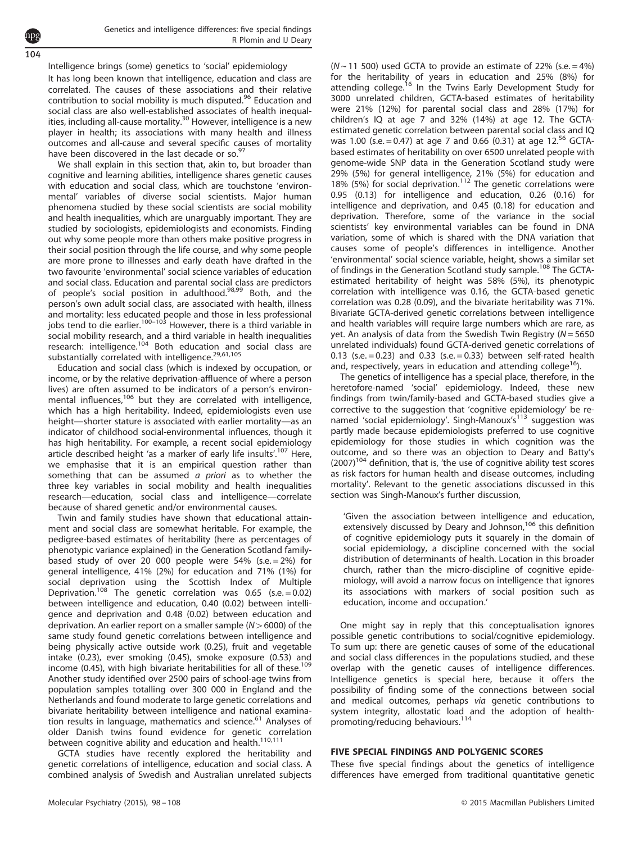104

Intelligence brings (some) genetics to 'social' epidemiology It has long been known that intelligence, education and class are correlated. The causes of these associations and their relative contribution to social mobility is much disputed.<sup>[96](#page-9-0)</sup> Education and social class are also well-established associates of health inequal-ities, including all-cause mortality.<sup>[30](#page-8-0)</sup> However, intelligence is a new player in health; its associations with many health and illness outcomes and all-cause and several specific causes of mortality

have been discovered in the last decade or so.<sup>97</sup> We shall explain in this section that, akin to, but broader than cognitive and learning abilities, intelligence shares genetic causes with education and social class, which are touchstone 'environmental' variables of diverse social scientists. Major human phenomena studied by these social scientists are social mobility and health inequalities, which are unarguably important. They are studied by sociologists, epidemiologists and economists. Finding out why some people more than others make positive progress in their social position through the life course, and why some people are more prone to illnesses and early death have drafted in the two favourite 'environmental' social science variables of education and social class. Education and parental social class are predictors of people's social position in adulthood.<sup>[98,99](#page-9-0)</sup> Both, and the person's own adult social class, are associated with health, illness and mortality: less educated people and those in less professional<br>jobs tend to die earlier.<sup>100–[103](#page-9-0)</sup> However, there is a third variable in social mobility research, and a third variable in health inequalities research: intelligence.<sup>[104](#page-10-0)</sup> Both education and social class are substantially correlated with intelligence.<sup>[29](#page-8-0),[61,](#page-9-0)[105](#page-10-0)</sup>

Education and social class (which is indexed by occupation, or income, or by the relative deprivation-affluence of where a person lives) are often assumed to be indicators of a person's environ-mental influences,<sup>[106](#page-10-0)</sup> but they are correlated with intelligence, which has a high heritability. Indeed, epidemiologists even use height—shorter stature is associated with earlier mortality—as an indicator of childhood social-environmental influences, though it has high heritability. For example, a recent social epidemiology article described height 'as a marker of early life insults'.<sup>[107](#page-10-0)</sup> Here, we emphasise that it is an empirical question rather than something that can be assumed  $a$  priori as to whether the three key variables in social mobility and health inequalities research—education, social class and intelligence—correlate because of shared genetic and/or environmental causes.

Twin and family studies have shown that educational attainment and social class are somewhat heritable. For example, the pedigree-based estimates of heritability (here as percentages of phenotypic variance explained) in the Generation Scotland familybased study of over 20 000 people were 54% (s.e.  $= 2\%$ ) for general intelligence, 41% (2%) for education and 71% (1%) for social deprivation using the Scottish Index of Multiple Deprivation.<sup>[108](#page-10-0)</sup> The genetic correlation was 0.65 (s.e. =  $0.02$ ) between intelligence and education, 0.40 (0.02) between intelligence and deprivation and 0.48 (0.02) between education and deprivation. An earlier report on a smaller sample  $(N>6000)$  of the same study found genetic correlations between intelligence and being physically active outside work (0.25), fruit and vegetable intake (0.23), ever smoking (0.45), smoke exposure (0.53) and income (0.45), with high bivariate heritabilities for all of these.<sup>[109](#page-10-0)</sup> Another study identified over 2500 pairs of school-age twins from population samples totalling over 300 000 in England and the Netherlands and found moderate to large genetic correlations and bivariate heritability between intelligence and national examina-tion results in language, mathematics and science.<sup>[61](#page-9-0)</sup> Analyses of older Danish twins found evidence for genetic correlation between cognitive ability and education and health.<sup>[110,111](#page-10-0)</sup>

GCTA studies have recently explored the heritability and genetic correlations of intelligence, education and social class. A combined analysis of Swedish and Australian unrelated subjects

 $(N \sim 11 500)$  used GCTA to provide an estimate of 22% (s.e. = 4%) for the heritability of years in education and 25% (8%) for attending college.<sup>[16](#page-8-0)</sup> In the Twins Early Development Study for 3000 unrelated children, GCTA-based estimates of heritability were 21% (12%) for parental social class and 28% (17%) for children's IQ at age 7 and 32% (14%) at age 12. The GCTAestimated genetic correlation between parental social class and IQ was 1.00 (s.e. = 0.47) at age 7 and 0.66 (0.31) at age 12.<sup>[56](#page-9-0)</sup> GCTAbased estimates of heritability on over 6500 unrelated people with genome-wide SNP data in the Generation Scotland study were 29% (5%) for general intelligence, 21% (5%) for education and 18% (5%) for social deprivation.[112](#page-10-0) The genetic correlations were 0.95 (0.13) for intelligence and education, 0.26 (0.16) for intelligence and deprivation, and 0.45 (0.18) for education and deprivation. Therefore, some of the variance in the social scientists' key environmental variables can be found in DNA variation, some of which is shared with the DNA variation that causes some of people's differences in intelligence. Another 'environmental' social science variable, height, shows a similar set of findings in the Generation Scotland study sample.<sup>[108](#page-10-0)</sup> The GCTAestimated heritability of height was 58% (5%), its phenotypic correlation with intelligence was 0.16, the GCTA-based genetic correlation was 0.28 (0.09), and the bivariate heritability was 71%. Bivariate GCTA-derived genetic correlations between intelligence and health variables will require large numbers which are rare, as yet. An analysis of data from the Swedish Twin Registry ( $N = 5650$ unrelated individuals) found GCTA-derived genetic correlations of 0.13 (s.e.  $= 0.23$ ) and 0.33 (s.e.  $= 0.33$ ) between self-rated health and, respectively, years in education and attending college<sup>16</sup>).

The genetics of intelligence has a special place, therefore, in the heretofore-named 'social' epidemiology. Indeed, these new findings from twin/family-based and GCTA-based studies give a corrective to the suggestion that 'cognitive epidemiology' be renamed 'social epidemiology'. Singh-Manoux's [113](#page-10-0) suggestion was partly made because epidemiologists preferred to use cognitive epidemiology for those studies in which cognition was the outcome, and so there was an objection to Deary and Batty's  $(2007)^{104}$  $(2007)^{104}$  $(2007)^{104}$  definition, that is, 'the use of cognitive ability test scores as risk factors for human health and disease outcomes, including mortality'. Relevant to the genetic associations discussed in this section was Singh-Manoux's further discussion,

'Given the association between intelligence and education, extensively discussed by Deary and Johnson,<sup>[106](#page-10-0)</sup> this definition of cognitive epidemiology puts it squarely in the domain of social epidemiology, a discipline concerned with the social distribution of determinants of health. Location in this broader church, rather than the micro-discipline of cognitive epidemiology, will avoid a narrow focus on intelligence that ignores its associations with markers of social position such as education, income and occupation.'

One might say in reply that this conceptualisation ignores possible genetic contributions to social/cognitive epidemiology. To sum up: there are genetic causes of some of the educational and social class differences in the populations studied, and these overlap with the genetic causes of intelligence differences. Intelligence genetics is special here, because it offers the possibility of finding some of the connections between social and medical outcomes, perhaps via genetic contributions to system integrity, allostatic load and the adoption of health-promoting/reducing behaviours.<sup>[114](#page-10-0)</sup>

# FIVE SPECIAL FINDINGS AND POLYGENIC SCORES

These five special findings about the genetics of intelligence differences have emerged from traditional quantitative genetic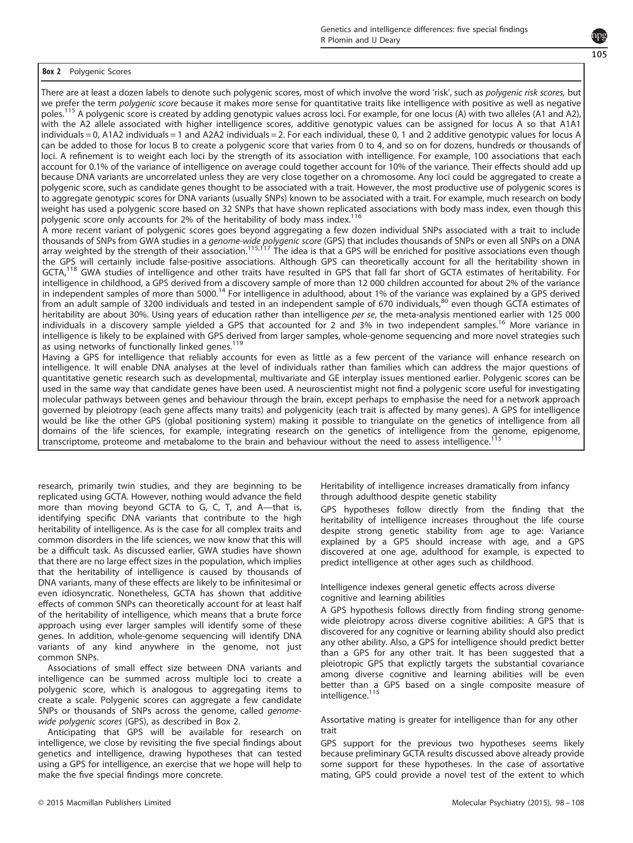## Box 2 Polygenic Scores

There are at least a dozen labels to denote such polygenic scores, most of which involve the word 'risk', such as polygenic risk scores, but we prefer the term polygenic score because it makes more sense for quantitative traits like intelligence with positive as well as negative poles.<sup>[115](#page-10-0)</sup> A polygenic score is created by adding genotypic values across loci. For example, for one locus (A) with two alleles (A1 and A2), with the A2 allele associated with higher intelligence scores, additive genotypic values can be assigned for locus A so that A1A1 individuals = 0, A1A2 individuals = 1 and A2A2 individuals = 2. For each individual, these 0, 1 and 2 additive genotypic values for locus A can be added to those for locus B to create a polygenic score that varies from 0 to 4, and so on for dozens, hundreds or thousands of loci. A refinement is to weight each loci by the strength of its association with intelligence. For example, 100 associations that each account for 0.1% of the variance of intelligence on average could together account for 10% of the variance. Their effects should add up because DNA variants are uncorrelated unless they are very close together on a chromosome. Any loci could be aggregated to create a polygenic score, such as candidate genes thought to be associated with a trait. However, the most productive use of polygenic scores is to aggregate genotypic scores for DNA variants (usually SNPs) known to be associated with a trait. For example, much research on body weight has used a polygenic score based on 32 SNPs that have shown replicated associations with body mass index, even though this polygenic score only accounts for 2% of the heritability of body mass index.<sup>[116](#page-10-0)</sup>

A more recent variant of polygenic scores goes beyond aggregating a few dozen individual SNPs associated with a trait to include thousands of SNPs from GWA studies in a *genome-wide polygenic score* (GPS) that includes thousands of SNPs or even all SNPs on a DNA<br>array weighted by the strength of their association.<sup>[115](#page-10-0),[117](#page-10-0)</sup> The idea is that a GPS wil the GPS will certainly include false-positive associations. Although GPS can theoretically account for all the heritability shown in GCTA,[118](#page-10-0) GWA studies of intelligence and other traits have resulted in GPS that fall far short of GCTA estimates of heritability. For intelligence in childhood, a GPS derived from a discovery sample of more than 12 000 children accounted for about 2% of the variance in independent samples of more than 5000.<sup>[14](#page-8-0)</sup> For intelligence in adulthood, about 1% of the variance was explained by a GPS derived from an adult sample of 3200 individuals and tested in an independent sample of 670 individuals,<sup>[80](#page-9-0)</sup> even though GCTA estimates of heritability are about 30%. Using years of education rather than intelligence per se, the meta-analysis mentioned earlier with 125 000 individuals in a discovery sample yielded a GPS that accounted for 2 and 3% in two independent samples.<sup>[16](#page-8-0)</sup> More variance in intelligence is likely to be explained with GPS derived from larger samples, whole-genome sequencing and more novel strategies such as using networks of functionally linked genes.<sup>[119](#page-10-0)</sup>

Having a GPS for intelligence that reliably accounts for even as little as a few percent of the variance will enhance research on intelligence. It will enable DNA analyses at the level of individuals rather than families which can address the major questions of quantitative genetic research such as developmental, multivariate and GE interplay issues mentioned earlier. Polygenic scores can be used in the same way that candidate genes have been used. A neuroscientist might not find a polygenic score useful for investigating molecular pathways between genes and behaviour through the brain, except perhaps to emphasise the need for a network approach governed by pleiotropy (each gene affects many traits) and polygenicity (each trait is affected by many genes). A GPS for intelligence would be like the other GPS (global positioning system) making it possible to triangulate on the genetics of intelligence from all domains of the life sciences, for example, integrating research on the genetics of intelligence from the genome, epigenome,<br>transcriptome, proteome and metabalome to the brain and behaviour without the need to assess intel

research, primarily twin studies, and they are beginning to be replicated using GCTA. However, nothing would advance the field more than moving beyond GCTA to G, C, T, and A—that is, identifying specific DNA variants that contribute to the high heritability of intelligence. As is the case for all complex traits and common disorders in the life sciences, we now know that this will be a difficult task. As discussed earlier, GWA studies have shown that there are no large effect sizes in the population, which implies that the heritability of intelligence is caused by thousands of DNA variants, many of these effects are likely to be infinitesimal or even idiosyncratic. Nonetheless, GCTA has shown that additive effects of common SNPs can theoretically account for at least half of the heritability of intelligence, which means that a brute force approach using ever larger samples will identify some of these genes. In addition, whole-genome sequencing will identify DNA variants of any kind anywhere in the genome, not just common SNPs.

Associations of small effect size between DNA variants and intelligence can be summed across multiple loci to create a polygenic score, which is analogous to aggregating items to create a scale. Polygenic scores can aggregate a few candidate SNPs or thousands of SNPs across the genome, called genomewide polygenic scores (GPS), as described in Box 2.

Anticipating that GPS will be available for research on intelligence, we close by revisiting the five special findings about genetics and intelligence, drawing hypotheses that can tested using a GPS for intelligence, an exercise that we hope will help to make the five special findings more concrete.

Heritability of intelligence increases dramatically from infancy through adulthood despite genetic stability

GPS hypotheses follow directly from the finding that the heritability of intelligence increases throughout the life course despite strong genetic stability from age to age: Variance explained by a GPS should increase with age, and a GPS discovered at one age, adulthood for example, is expected to predict intelligence at other ages such as childhood.

## Intelligence indexes general genetic effects across diverse cognitive and learning abilities

A GPS hypothesis follows directly from finding strong genomewide pleiotropy across diverse cognitive abilities: A GPS that is discovered for any cognitive or learning ability should also predict any other ability. Also, a GPS for intelligence should predict better than a GPS for any other trait. It has been suggested that a pleiotropic GPS that explictly targets the substantial covariance among diverse cognitive and learning abilities will be even better than a GPS based on a single composite measure of intelligence. $^{115}$  $^{115}$  $^{115}$ 

Assortative mating is greater for intelligence than for any other trait

GPS support for the previous two hypotheses seems likely because preliminary GCTA results discussed above already provide some support for these hypotheses. In the case of assortative mating, GPS could provide a novel test of the extent to which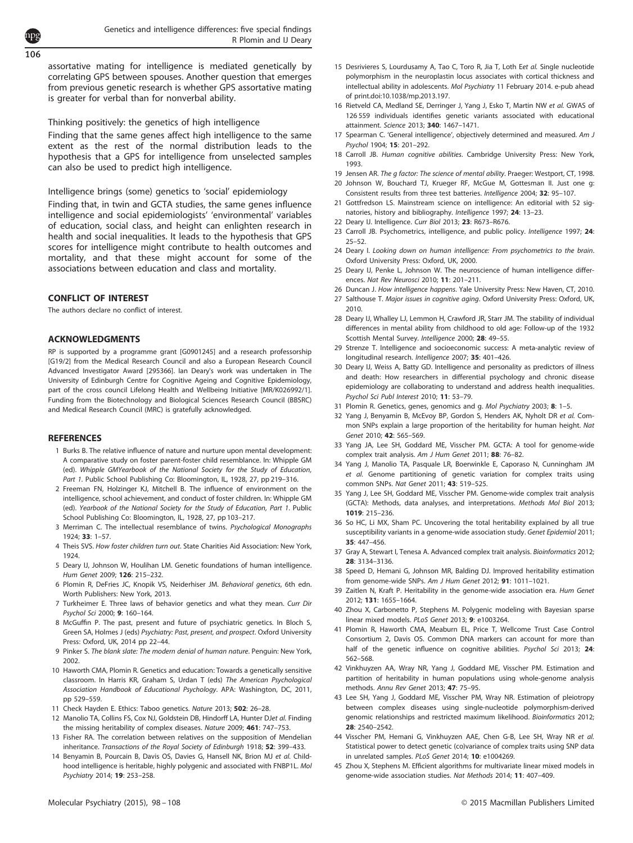106

assortative mating for intelligence is mediated genetically by correlating GPS between spouses. Another question that emerges from previous genetic research is whether GPS assortative mating is greater for verbal than for nonverbal ability.

Thinking positively: the genetics of high intelligence

Finding that the same genes affect high intelligence to the same extent as the rest of the normal distribution leads to the hypothesis that a GPS for intelligence from unselected samples can also be used to predict high intelligence.

#### Intelligence brings (some) genetics to 'social' epidemiology

Finding that, in twin and GCTA studies, the same genes influence intelligence and social epidemiologists' 'environmental' variables of education, social class, and height can enlighten research in health and social inequalities. It leads to the hypothesis that GPS scores for intelligence might contribute to health outcomes and mortality, and that these might account for some of the associations between education and class and mortality.

## CONFLICT OF INTEREST

The authors declare no conflict of interest.

## ACKNOWLEDGMENTS

RP is supported by a programme grant [G0901245] and a research professorship [G19/2] from the Medical Research Council and also a European Research Council Advanced Investigator Award [295366]. Ian Deary's work was undertaken in The University of Edinburgh Centre for Cognitive Ageing and Cognitive Epidemiology, part of the cross council Lifelong Health and Wellbeing Initiative [MR/K026992/1]. Funding from the Biotechnology and Biological Sciences Research Council (BBSRC) and Medical Research Council (MRC) is gratefully acknowledged.

## **REFERENCES**

- 1 Burks B. The relative influence of nature and nurture upon mental development: A comparative study on foster parent-foster child resemblance. In: Whipple GM (ed). Whipple GMYearbook of the National Society for the Study of Education, Part 1. Public School Publishing Co: Bloomington, IL, 1928, 27, pp 219-316.
- 2 Freeman FN, Holzinger KJ, Mitchell B. The influence of environment on the intelligence, school achievement, and conduct of foster children. In: Whipple GM (ed). Yearbook of the National Society for the Study of Education, Part 1. Public School Publishing Co: Bloomington, IL, 1928, 27, pp 103–217.
- 3 Merriman C. The intellectual resemblance of twins. Psychological Monographs 1924; 33: 1–57.
- 4 Theis SVS. How foster children turn out. State Charities Aid Association: New York, 1924.
- 5 Deary IJ, Johnson W, Houlihan LM. Genetic foundations of human intelligence. Hum Genet 2009; 126: 215–232.
- 6 Plomin R, DeFries JC, Knopik VS, Neiderhiser JM. Behavioral genetics, 6th edn. Worth Publishers: New York, 2013.
- 7 Turkheimer E. Three laws of behavior genetics and what they mean. Curr Dir Psychol Sci 2000; 9: 160–164.
- 8 McGuffin P. The past, present and future of psychiatric genetics. In Bloch S, Green SA, Holmes J (eds) Psychiatry: Past, present, and prospect. Oxford University Press: Oxford, UK, 2014 pp 22–44.
- 9 Pinker S. The blank slate: The modern denial of human nature. Penguin: New York, 2002.
- 10 Haworth CMA, Plomin R. Genetics and education: Towards a genetically sensitive classroom. In Harris KR, Graham S, Urdan T (eds) The American Psychological Association Handbook of Educational Psychology. APA: Washington, DC, 2011, pp 529–559.
- 11 Check Hayden E. Ethics: Taboo genetics. Nature 2013; 502: 26–28.
- 12 Manolio TA, Collins FS, Cox NJ, Goldstein DB, Hindorff LA, Hunter DJet al. Finding the missing heritability of complex diseases. Nature 2009; 461: 747–753.
- 13 Fisher RA. The correlation between relatives on the supposition of Mendelian inheritance. Transactions of the Royal Society of Edinburgh 1918; 52: 399–433.
- 14 Benyamin B, Pourcain B, Davis OS, Davies G, Hansell NK, Brion MJ et al. Childhood intelligence is heritable, highly polygenic and associated with FNBP1L. Mol Psychiatry 2014; 19: 253–258.
- 15 Desrivieres S, Lourdusamy A, Tao C, Toro R, Jia T, Loth Eet al. Single nucleotide polymorphism in the neuroplastin locus associates with cortical thickness and intellectual ability in adolescents. Mol Psychiatry 11 February 2014. e-pub ahead of print.doi:[10.1038/mp.2013.197](http://dx.doi.org/10.1038/mp.2013.197).
- 16 Rietveld CA, Medland SE, Derringer J, Yang J, Esko T, Martin NW et al. GWAS of 126 559 individuals identifies genetic variants associated with educational attainment. Science 2013; 340: 1467–1471.
- 17 Spearman C. 'General intelligence', objectively determined and measured. Am J Psychol 1904; 15: 201–292.
- 18 Carroll JB. Human cognitive abilities. Cambridge University Press: New York, 1993.
- 19 Jensen AR. The q factor: The science of mental ability. Praeger: Westport, CT, 1998. 20 Johnson W, Bouchard TJ, Krueger RF, McGue M, Gottesman II. Just one g:
- Consistent results from three test batteries. Intelligence 2004; 32: 95–107. 21 Gottfredson LS. Mainstream science on intelligence: An editorial with 52 sig-
- natories, history and bibliography. Intelligence 1997; 24: 13–23.
- 22 Deary IJ. Intelligence. Curr Biol 2013; 23: R673–R676.
- 23 Carroll JB. Psychometrics, intelligence, and public policy. Intelligence 1997; 24: 25–52.
- 24 Deary I. Looking down on human intelligence: From psychometrics to the brain. Oxford University Press: Oxford, UK, 2000.
- 25 Deary IJ, Penke L, Johnson W. The neuroscience of human intelligence differences. Nat Rev Neurosci 2010; 11: 201–211.
- 26 Duncan J. How intelligence happens. Yale University Press: New Haven, CT, 2010.
- 27 Salthouse T. Major issues in cognitive aging. Oxford University Press: Oxford, UK, 2010.
- 28 Deary IJ, Whalley LJ, Lemmon H, Crawford JR, Starr JM. The stability of individual differences in mental ability from childhood to old age: Follow-up of the 1932 Scottish Mental Survey. Intelligence 2000: 28: 49-55.
- 29 Strenze T. Intelligence and socioeconomic success: A meta-analytic review of longitudinal research. Intelligence 2007; 35: 401–426.
- 30 Deary IJ, Weiss A, Batty GD. Intelligence and personality as predictors of illness and death: How researchers in differential psychology and chronic disease epidemiology are collaborating to understand and address health inequalities. Psychol Sci Publ Interest 2010; 11: 53–79.
- 31 Plomin R. Genetics, genes, genomics and g. Mol Psychiatry 2003; 8: 1–5.
- 32 Yang J, Benyamin B, McEvoy BP, Gordon S, Henders AK, Nyholt DR et al. Common SNPs explain a large proportion of the heritability for human height. Nat Genet 2010; 42: 565–569.
- 33 Yang JA, Lee SH, Goddard ME, Visscher PM. GCTA: A tool for genome-wide complex trait analysis. Am J Hum Genet 2011; 88: 76-82.
- 34 Yang J, Manolio TA, Pasquale LR, Boerwinkle E, Caporaso N, Cunningham JM et al. Genome partitioning of genetic variation for complex traits using common SNPs. Nat Genet 2011; 43: 519–525.
- 35 Yang J, Lee SH, Goddard ME, Visscher PM. Genome-wide complex trait analysis (GCTA): Methods, data analyses, and interpretations. Methods Mol Biol 2013; 1019: 215–236.
- 36 So HC, Li MX, Sham PC. Uncovering the total heritability explained by all true susceptibility variants in a genome-wide association study. Genet Epidemiol 2011; 35: 447–456.
- 37 Gray A, Stewart I, Tenesa A. Advanced complex trait analysis. Bioinformatics 2012; 28: 3134–3136.
- 38 Speed D, Hemani G, Johnson MR, Balding DJ. Improved heritability estimation from genome-wide SNPs. Am J Hum Genet 2012; 91: 1011–1021.
- 39 Zaitlen N, Kraft P. Heritability in the genome-wide association era. Hum Genet 2012; 131: 1655–1664.
- 40 Zhou X, Carbonetto P, Stephens M. Polygenic modeling with Bayesian sparse linear mixed models. PLoS Genet 2013; 9: e1003264.
- 41 Plomin R, Haworth CMA, Meaburn EL, Price T, Wellcome Trust Case Control Consortium 2, Davis OS. Common DNA markers can account for more than half of the genetic influence on cognitive abilities. Psychol Sci 2013; 24: 562–568.
- 42 Vinkhuyzen AA, Wray NR, Yang J, Goddard ME, Visscher PM. Estimation and partition of heritability in human populations using whole-genome analysis methods. Annu Rev Genet 2013; 47: 75–95.
- 43 Lee SH, Yang J, Goddard ME, Visscher PM, Wray NR. Estimation of pleiotropy between complex diseases using single-nucleotide polymorphism-derived genomic relationships and restricted maximum likelihood. Bioinformatics 2012; 28: 2540–2542.
- 44 Visscher PM, Hemani G, Vinkhuyzen AAE, Chen G-B, Lee SH, Wray NR et al. Statistical power to detect genetic (co)variance of complex traits using SNP data in unrelated samples. PLoS Genet 2014; 10: e1004269.
- 45 Zhou X, Stephens M. Efficient algorithms for multivariate linear mixed models in genome-wide association studies. Nat Methods 2014; 11: 407–409.

<span id="page-8-0"></span>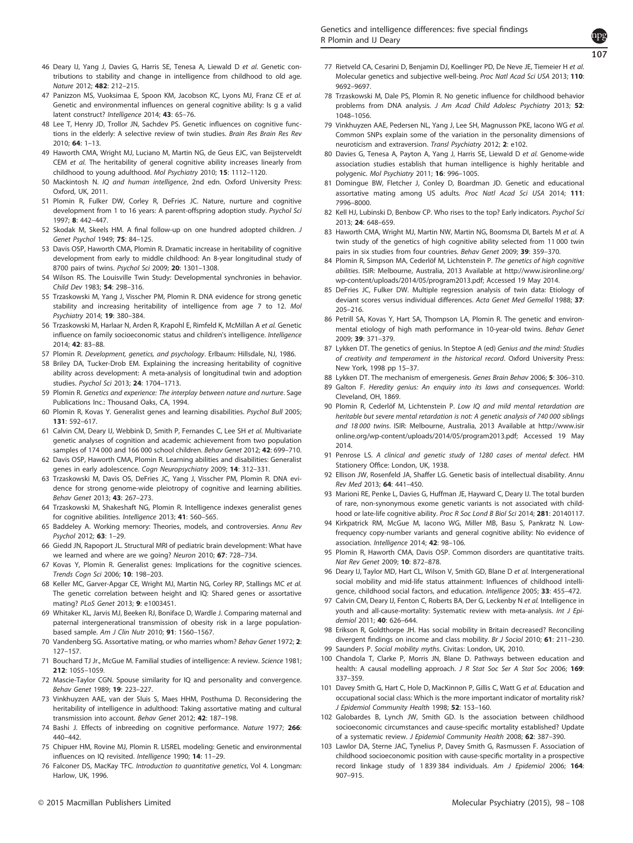

- <span id="page-9-0"></span>46 Deary IJ, Yang J, Davies G, Harris SE, Tenesa A, Liewald D et al. Genetic contributions to stability and change in intelligence from childhood to old age. Nature 2012; 482: 212–215.
- 47 Panizzon MS, Vuoksimaa E, Spoon KM, Jacobson KC, Lyons MJ, Franz CE et al. Genetic and environmental influences on general cognitive ability: Is g a valid latent construct? Intelligence 2014; 43: 65–76.
- 48 Lee T, Henry JD, Trollor JN, Sachdev PS. Genetic influences on cognitive functions in the elderly: A selective review of twin studies. Brain Res Brain Res Rev 2010; 64: 1–13.
- 49 Haworth CMA, Wright MJ, Luciano M, Martin NG, de Geus EJC, van Beijsterveldt CEM et al. The heritability of general cognitive ability increases linearly from childhood to young adulthood. Mol Psychiatry 2010; 15: 1112–1120.
- 50 Mackintosh N. IQ and human intelligence, 2nd edn. Oxford University Press: Oxford, UK, 2011.
- 51 Plomin R, Fulker DW, Corley R, DeFries JC. Nature, nurture and cognitive development from 1 to 16 years: A parent-offspring adoption study. Psychol Sci 1997; 8: 442–447.
- 52 Skodak M, Skeels HM. A final follow-up on one hundred adopted children. J Genet Psychol 1949; 75: 84–125.
- 53 Davis OSP, Haworth CMA, Plomin R. Dramatic increase in heritability of cognitive development from early to middle childhood: An 8-year longitudinal study of 8700 pairs of twins. Psychol Sci 2009; 20: 1301–1308.
- 54 Wilson RS. The Louisville Twin Study: Developmental synchronies in behavior. Child Dev 1983; 54: 298–316.
- 55 Trzaskowski M, Yang J, Visscher PM, Plomin R. DNA evidence for strong genetic stability and increasing heritability of intelligence from age 7 to 12. Mol Psychiatry 2014; 19: 380–384.
- 56 Trzaskowski M, Harlaar N, Arden R, Krapohl E, Rimfeld K, McMillan A et al. Genetic influence on family socioeconomic status and children's intelligence. Intelligence 2014; 42: 83–88.
- 57 Plomin R. Development, genetics, and psychology. Erlbaum: Hillsdale, NJ, 1986.
- 58 Briley DA, Tucker-Drob EM. Explaining the increasing heritability of cognitive ability across development: A meta-analysis of longitudinal twin and adoption studies. Psychol Sci 2013; 24: 1704–1713.
- 59 Plomin R. Genetics and experience: The interplay between nature and nurture. Sage Publications Inc.: Thousand Oaks, CA, 1994.
- 60 Plomin R, Kovas Y. Generalist genes and learning disabilities. Psychol Bull 2005; 131: 592–617.
- 61 Calvin CM, Deary IJ, Webbink D, Smith P, Fernandes C, Lee SH et al. Multivariate genetic analyses of cognition and academic achievement from two population samples of 174 000 and 166 000 school children. Behav Genet 2012; 42: 699–710.
- 62 Davis OSP, Haworth CMA, Plomin R. Learning abilities and disabilities: Generalist genes in early adolescence. Cogn Neuropsychiatry 2009; 14: 312–331.
- 63 Trzaskowski M, Davis OS, DeFries JC, Yang J, Visscher PM, Plomin R. DNA evidence for strong genome-wide pleiotropy of cognitive and learning abilities. Behav Genet 2013; 43: 267–273.
- 64 Trzaskowski M, Shakeshaft NG, Plomin R. Intelligence indexes generalist genes for cognitive abilities. Intelligence 2013; 41: 560–565.
- 65 Baddeley A. Working memory: Theories, models, and controversies. Annu Rev Psychol 2012; 63: 1–29.
- 66 Giedd JN, Rapoport JL. Structural MRI of pediatric brain development: What have we learned and where are we going? Neuron 2010; 67: 728–734.
- 67 Kovas Y, Plomin R. Generalist genes: Implications for the cognitive sciences. Trends Cogn Sci 2006; 10: 198–203.
- 68 Keller MC, Garver-Apgar CE, Wright MJ, Martin NG, Corley RP, Stallings MC et al. The genetic correlation between height and IQ: Shared genes or assortative mating? PLoS Genet 2013; 9: e1003451.
- 69 Whitaker KL, Jarvis MJ, Beeken RJ, Boniface D, Wardle J. Comparing maternal and paternal intergenerational transmission of obesity risk in a large populationbased sample. Am J Clin Nutr 2010; 91: 1560–1567.
- 70 Vandenberg SG. Assortative mating, or who marries whom? Behav Genet 1972; 2: 127–157.
- 71 Bouchard TJ Jr., McGue M. Familial studies of intelligence: A review. Science 1981; 212: 1055–1059.
- 72 Mascie-Taylor CGN. Spouse similarity for IQ and personality and convergence. Behav Genet 1989; 19: 223–227.
- 73 Vinkhuyzen AAE, van der Sluis S, Maes HHM, Posthuma D. Reconsidering the heritability of intelligence in adulthood: Taking assortative mating and cultural transmission into account. Behav Genet 2012; 42: 187–198.
- 74 Bashi J. Effects of inbreeding on cognitive performance. Nature 1977; 266: 440–442.
- 75 Chipuer HM, Rovine MJ, Plomin R. LISREL modeling: Genetic and environmental influences on IQ revisited. Intelligence 1990; 14: 11–29.
- 76 Falconer DS, MacKay TFC. Introduction to quantitative genetics, Vol 4. Longman: Harlow, UK, 1996.
- 77 Rietveld CA, Cesarini D, Benjamin DJ, Koellinger PD, De Neve JE, Tiemeier H et al. Molecular genetics and subjective well-being. Proc Natl Acad Sci USA 2013; 110: 9692–9697.
- 78 Trzaskowski M, Dale PS, Plomin R. No genetic influence for childhood behavior problems from DNA analysis. J Am Acad Child Adolesc Psychiatry 2013; 52: 1048–1056.
- 79 Vinkhuyzen AAE, Pedersen NL, Yang J, Lee SH, Magnusson PKE, Iacono WG et al. Common SNPs explain some of the variation in the personality dimensions of neuroticism and extraversion. Transl Psychiatry 2012; 2: e102.
- 80 Davies G, Tenesa A, Payton A, Yang J, Harris SE, Liewald D et al. Genome-wide association studies establish that human intelligence is highly heritable and polygenic. Mol Psychiatry 2011; 16: 996–1005.
- 81 Domingue BW, Fletcher J, Conley D, Boardman JD. Genetic and educational assortative mating among US adults. Proc Natl Acad Sci USA 2014; 111: 7996–8000.
- 82 Kell HJ, Lubinski D, Benbow CP. Who rises to the top? Early indicators. Psychol Sci 2013; 24: 648–659.
- 83 Haworth CMA, Wright MJ, Martin NW, Martin NG, Boomsma DI, Bartels M et al. A twin study of the genetics of high cognitive ability selected from 11 000 twin pairs in six studies from four countries. Behav Genet 2009; 39: 359–370.
- 84 Plomin R, Simpson MA, Cederlöf M, Lichtenstein P. The genetics of high cognitive abilities. ISIR: Melbourne, Australia, 2013 Available at [http://www.isironline.org/](http://www.isironline.org/wp-content/uploads/2014/05/program2013.pdf) [wp-content/uploads/2014/05/program2013.pdf](http://www.isironline.org/wp-content/uploads/2014/05/program2013.pdf); Accessed 19 May 2014.
- 85 DeFries JC, Fulker DW. Multiple regression analysis of twin data: Etiology of deviant scores versus individual differences. Acta Genet Med Gemellol 1988; 37: 205–216.
- 86 Petrill SA, Kovas Y, Hart SA, Thompson LA, Plomin R. The genetic and environmental etiology of high math performance in 10-year-old twins. Behav Genet 2009; 39: 371–379.
- 87 Lykken DT. The genetics of genius. In Steptoe A (ed) Genius and the mind: Studies of creativity and temperament in the historical record. Oxford University Press: New York, 1998 pp 15–37.
- 88 Lykken DT. The mechanism of emergenesis. Genes Brain Behav 2006; 5: 306–310.
- 89 Galton F. Heredity genius: An enquiry into its laws and consequences. World: Cleveland, OH, 1869.
- 90 Plomin R, Cederlöf M, Lichtenstein P. Low IQ and mild mental retardation are heritable but severe mental retardation is not: A genetic analysis of 740 000 siblings and 18 000 twins. ISIR: Melbourne, Australia, 2013 Available at [http://www.isir](http://www.isironline.org/wp-content/uploads/2014/05/program2013.pdf) [online.org/wp-content/uploads/2014/05/program2013.pdf](http://www.isironline.org/wp-content/uploads/2014/05/program2013.pdf); Accessed 19 May 2014.
- 91 Penrose LS. A clinical and genetic study of 1280 cases of mental defect. HM Stationery Office: London, UK, 1938.
- 92 Ellison JW, Rosenfeld JA, Shaffer LG. Genetic basis of intellectual disability. Annu Rev Med 2013; 64: 441–450.
- 93 Marioni RE, Penke L, Davies G, Huffman JE, Hayward C, Deary IJ. The total burden of rare, non-synonymous exome genetic variants is not associated with childhood or late-life cognitive ability. Proc R Soc Lond B Biol Sci 2014; 281: 20140117.
- 94 Kirkpatrick RM, McGue M, Iacono WG, Miller MB, Basu S, Pankratz N. Lowfrequency copy-number variants and general cognitive ability: No evidence of association. Intelligence 2014: 42: 98-106.
- 95 Plomin R, Haworth CMA, Davis OSP. Common disorders are quantitative traits. Nat Rev Genet 2009; 10: 872–878.
- 96 Deary IJ, Taylor MD, Hart CL, Wilson V, Smith GD, Blane D et al. Intergenerational social mobility and mid-life status attainment: Influences of childhood intelligence, childhood social factors, and education. Intelligence 2005; 33: 455–472.
- 97 Calvin CM, Deary IJ, Fenton C, Roberts BA, Der G, Leckenby N et al. Intelligence in youth and all-cause-mortality: Systematic review with meta-analysis. Int J Epidemiol 2011; 40: 626–644.
- 98 Erikson R, Goldthorpe JH. Has social mobility in Britain decreased? Reconciling divergent findings on income and class mobility. Br J Sociol 2010; 61: 211–230.
- 99 Saunders P. Social mobility myths. Civitas: London, UK, 2010.
- 100 Chandola T, Clarke P, Morris JN, Blane D. Pathways between education and health: A causal modelling approach. J R Stat Soc Ser A Stat Soc 2006; 169: 337–359.
- 101 Davey Smith G, Hart C, Hole D, MacKinnon P, Gillis C, Watt G et al. Education and occupational social class: Which is the more important indicator of mortality risk? J Epidemiol Community Health 1998; 52: 153–160.
- 102 Galobardes B, Lynch JW, Smith GD. Is the association between childhood socioeconomic circumstances and cause-specific mortality established? Update of a systematic review. J Epidemiol Community Health 2008; 62: 387–390.
- 103 Lawlor DA, Sterne JAC, Tynelius P, Davey Smith G, Rasmussen F. Association of childhood socioeconomic position with cause-specific mortality in a prospective record linkage study of 1 839 384 individuals. Am J Epidemiol 2006; 164: 907–915.